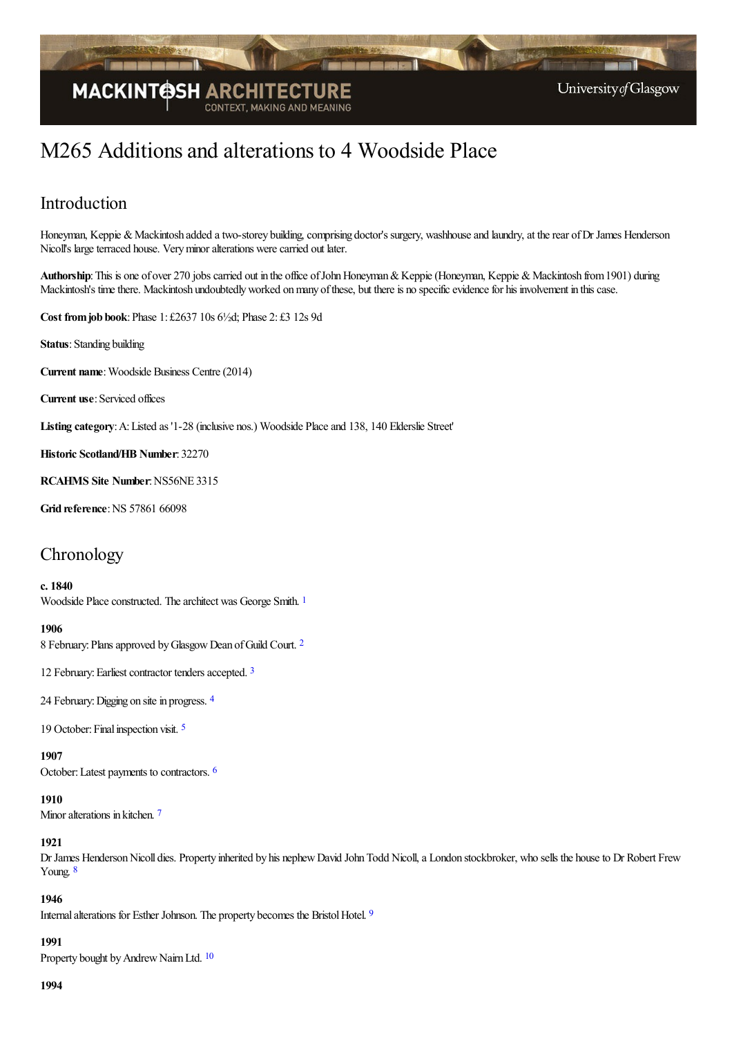

# M265 Additions and alterations to 4 Woodside Place

# Introduction

Honeyman, Keppie & Mackintosh added a two-storey building, comprising doctor's surgery, washhouse and laundry, at the rear of Dr James Henderson Nicoll's large terraced house. Very minor alterations were carried out later.

Authorship: This is one of over 270 jobs carried out in the office of John Honeyman & Keppie (Honeyman, Keppie & Mackintosh from 1901) during Mackintosh's time there. Mackintosh undoubtedly worked on many of these, but there is no specific evidence for his involvement in this case.

**Cost fromjob book**:Phase 1: £2637 10s 6½d; Phase 2: £3 12s 9d

**Status**: Standing building

**Current name:** Woodside Business Centre (2014)

**Current use:** Serviced offices

**Listing category**:A:Listed as '1-28 (inclusive nos.) Woodside Placeand 138, 140 Elderslie Street'

**Historic Scotland/HB Number**: 32270

**RCAHMS Site Number**:NS56NE 3315

**Grid reference**:NS 57861 66098

# **Chronology**

#### **c. 1840**

<span id="page-0-0"></span>Woodside Place constructed. The architect was George Smith. [1](#page-4-0)

#### <span id="page-0-1"></span>**1906**

8 February: Plans approved by Glasgow Dean of Guild Court. <sup>[2](#page-4-1)</sup>

<span id="page-0-2"></span>12 February: Earliest contractor tenders accepted. [3](#page-4-2)

<span id="page-0-3"></span>2[4](#page-4-3) February: Digging on site in progress. 4

<span id="page-0-4"></span>19 October: Final inspection visit. <sup>[5](#page-4-4)</sup>

<span id="page-0-5"></span>**1907**

October:Latest payments to contractors. [6](#page-4-5)

#### <span id="page-0-6"></span>**1910**

Minor alterations in kitchen.<sup>[7](#page-4-6)</sup>

#### **1921**

<span id="page-0-7"></span>Dr James Henderson Nicoll dies. Property inherited by his nephew David John Todd Nicoll, a London stockbroker, who sells the house to Dr Robert Frew Young. [8](#page-5-0)

### <span id="page-0-8"></span>**1946**

Internal alterations for Esther Johnson. The property becomes the Bristol Hotel. [9](#page-5-1)

#### <span id="page-0-9"></span>**1991**

Property bought by Andrew Nairn Ltd. <sup>[10](#page-5-2)</sup>

#### **1994**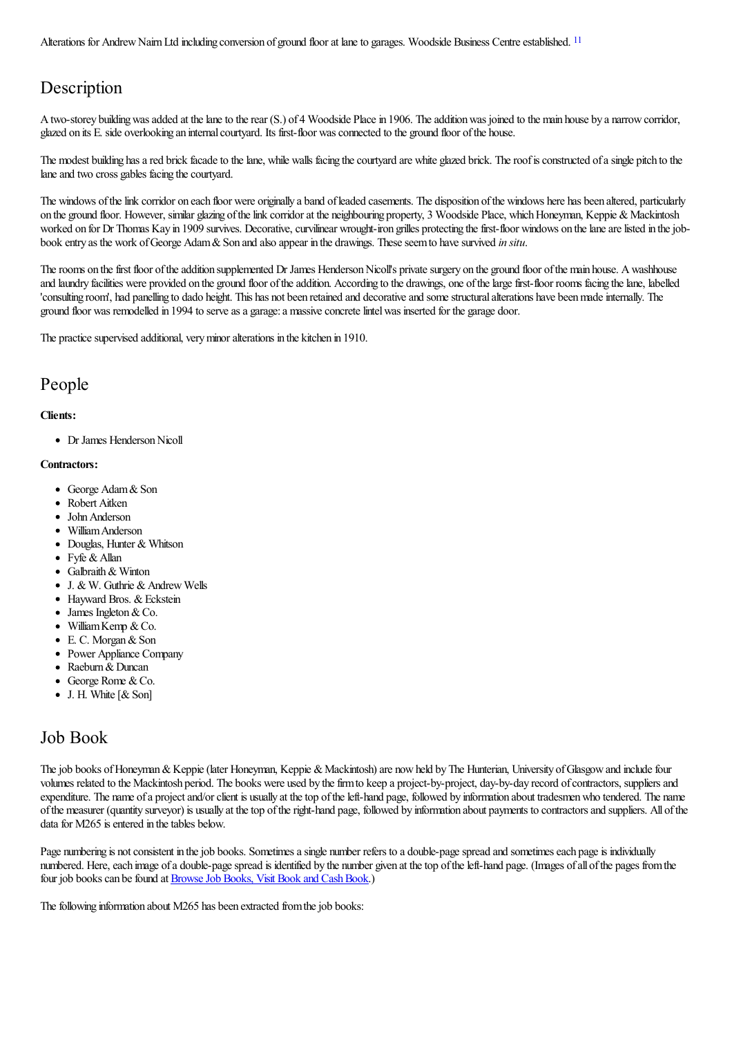<span id="page-1-0"></span>Alterations for Andrew Nairn Ltd including conversion of ground floor at lane to garages. Woodside Business Centre established. <sup>[11](#page-5-3)</sup>

# **Description**

A two-storey building was added at the lane to the rear (S.) of 4 Woodside Place in 1906. The addition was joined to the main house by a narrow corridor. glazed on its E. side overlooking an internalcourtyard. Its first-floor wasconnected to the ground floor ofthe house.

The modest building has a red brick facade to the lane, while walls facing the courtyard are white glazed brick. The roof is constructed of a single pitch to the lane and two cross gables facing the courtyard.

The windows of the link corridor on each floor were originally a band of leaded casements. The disposition of the windows here has been altered, particularly on the ground floor. However, similar glazing of the link corridor at the neighbouring property, 3 Woodside Place, which Honeyman, Keppie & Mackintosh worked on for Dr Thomas Kay in 1909 survives. Decorative, curvilinear wrought-iron grilles protecting the first-floor windows on the lane are listed in the jobbook entry as the work of George Adam & Son and also appear in the drawings. These seem to have survived *in situ*.

The rooms on the first floor of the addition supplemented Dr James Henderson Nicoll's private surgery on the ground floor of the main house. A washhouse and laundry facilities were provided on the ground floor of the addition. According to the drawings, one of the large first-floor rooms facing the lane, labelled 'consulting room', had panelling to dado height. This has not been retained and decorative and some structural alterations have been made internally. The ground floor was remodelled in 1994 to serveasa garage:a massiveconcretelintelwas inserted for the garage door.

The practice supervised additional, very minor alterations in the kitchen in 1910.

# People

## **Clients:**

• Dr James Henderson Nicoll

## **Contractors:**

- George Adam & Son
- Robert Aitken
- John Anderson
- WilliamAnderson
- Douglas, Hunter & Whitson
- Fyfe & Allan
- Galbraith & Winton
- $\bullet$  J. & W. Guthrie & Andrew Wells
- Hayward Bros. & Eckstein
- James Ingleton & Co.
- $\bullet$  William Kemp & Co.
- $\bullet$  E. C. Morgan & Son
- Power Appliance Company
- Raeburn & Duncan
- $\bullet$  George Rome & Co.
- $\bullet$  J. H. White  $[\&$  Son]

# Job Book

The job books of Honeyman & Keppie (later Honeyman, Keppie & Mackintosh) are now held by The Hunterian, University of Glasgow and include four volumes related to the Mackintosh period. The books were used by the firm to keep a project-by-project, day-by-day record of contractors, suppliers and expenditure. The name of a project and/or client is usually at the top of the left-hand page, followed by information about tradesmen who tendered. The name ofthe measurer (quantity surveyor) is usually at thetop oftheright-hand page, followed by information about payments to contractorsand suppliers. All ofthe data for M265 is entered in the tables below.

Page numbering is not consistent in the job books. Sometimes a single number refers to a double-page spread and sometimes each page is individually numbered. Here, each image of a double-page spread is identified by the number given at the top of the left-hand page. (Images of all of the pages from the four job books can be found at **Browse Job Books**, Visit Book and Cash Book.)

The following information about M265 has been extracted from the job books: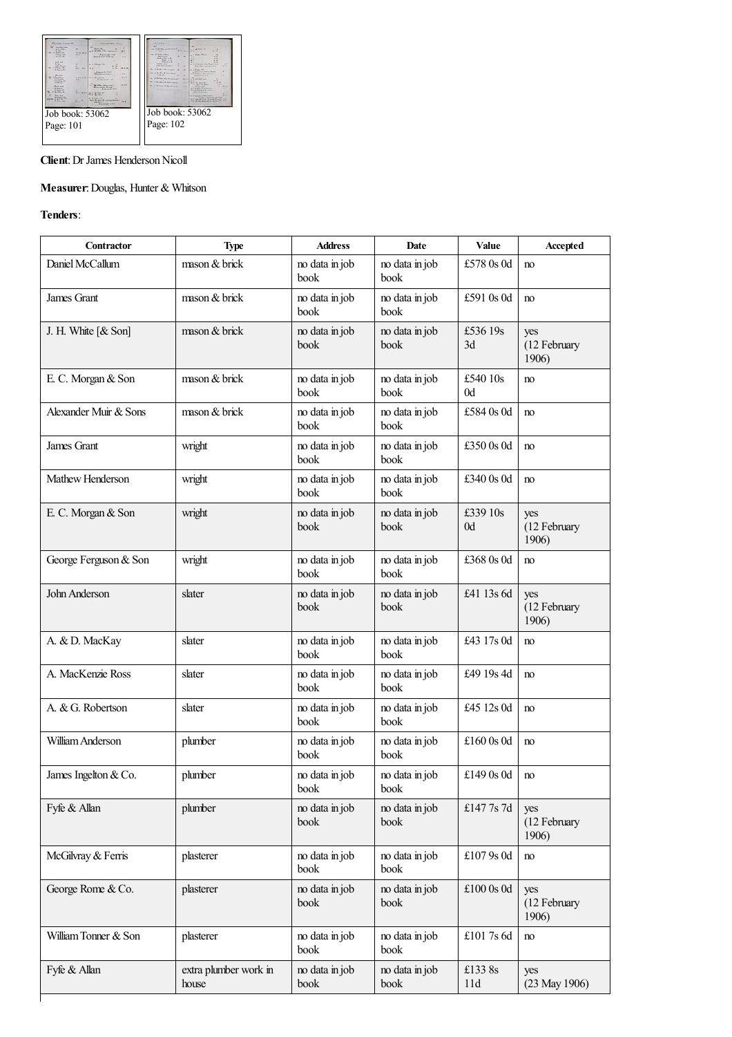

## **Client**: Dr James Henderson Nicoll

## **Measurer**:Douglas, Hunter & Whitson

## **Tenders**:

 $\mathsf{L}$ 

| Contractor            | <b>Type</b>                    | <b>Address</b>         | Date                   | Value          | Accepted                     |
|-----------------------|--------------------------------|------------------------|------------------------|----------------|------------------------------|
| Daniel McCallum       | mason & brick                  | no data in job<br>book | no data in job<br>book | £578 0s 0d     | no                           |
| James Grant           | mason & brick                  | no data in job<br>book | no data in job<br>book | £591 0s 0d     | no                           |
| J. H. White [ & Son]  | mason & brick                  | no data in job<br>book | no data in job<br>book | £536 19s<br>3d | yes<br>(12 February<br>1906) |
| E. C. Morgan & Son    | mason & brick                  | no data in job<br>book | no data in job<br>book | £540 10s<br>0d | no                           |
| Alexander Muir & Sons | mason & brick                  | no data in job<br>book | no data in job<br>book | £584 0s 0d     | no                           |
| James Grant           | wright                         | no data in job<br>book | no data in job<br>book | £350 0s 0d     | no                           |
| Mathew Henderson      | wright                         | no data in job<br>book | no data in job<br>book | £340 0s 0d     | no                           |
| E. C. Morgan & Son    | wright                         | no data in job<br>book | no data in job<br>book | £339 10s<br>0d | yes<br>(12 February<br>1906) |
| George Ferguson & Son | wright                         | no data in job<br>book | no data in job<br>book | £368 0s 0d     | no                           |
| John Anderson         | slater                         | no data in job<br>book | no data in job<br>book | £41 13s 6d     | yes<br>(12 February<br>1906) |
| A. & D. MacKay        | slater                         | no data in job<br>book | no data in job<br>book | £43 17s 0d     | no                           |
| A. MacKenzie Ross     | slater                         | no data in job<br>book | no data in job<br>book | £49 19s 4d     | no                           |
| A. & G. Robertson     | slater                         | no data in job<br>book | no data in job<br>book | £45 12s 0d     | no                           |
| William Anderson      | plumber                        | no data in job<br>book | no data in job<br>book | £160 0s 0d     | no                           |
| James Ingelton & Co.  | plumber                        | no data in job<br>book | no data in job<br>book | £149 0s 0d     | no                           |
| Fyfe & Allan          | plumber                        | no data in job<br>book | no data in job<br>book | £147 7s 7d     | yes<br>(12 February<br>1906) |
| McGilvray & Ferris    | plasterer                      | no data in job<br>book | no data in job<br>book | £107 9s 0d     | no                           |
| George Rome & Co.     | plasterer                      | no data in job<br>book | no data in job<br>book | £100 0s 0d     | yes<br>(12 February<br>1906) |
| William Tonner & Son  | plasterer                      | no data in job<br>book | no data in job<br>book | £1017s6d       | no                           |
| Fyfe & Allan          | extra plumber work in<br>house | no data in job<br>book | no data in job<br>book | £1338s<br>11d  | yes<br>(23 May 1906)         |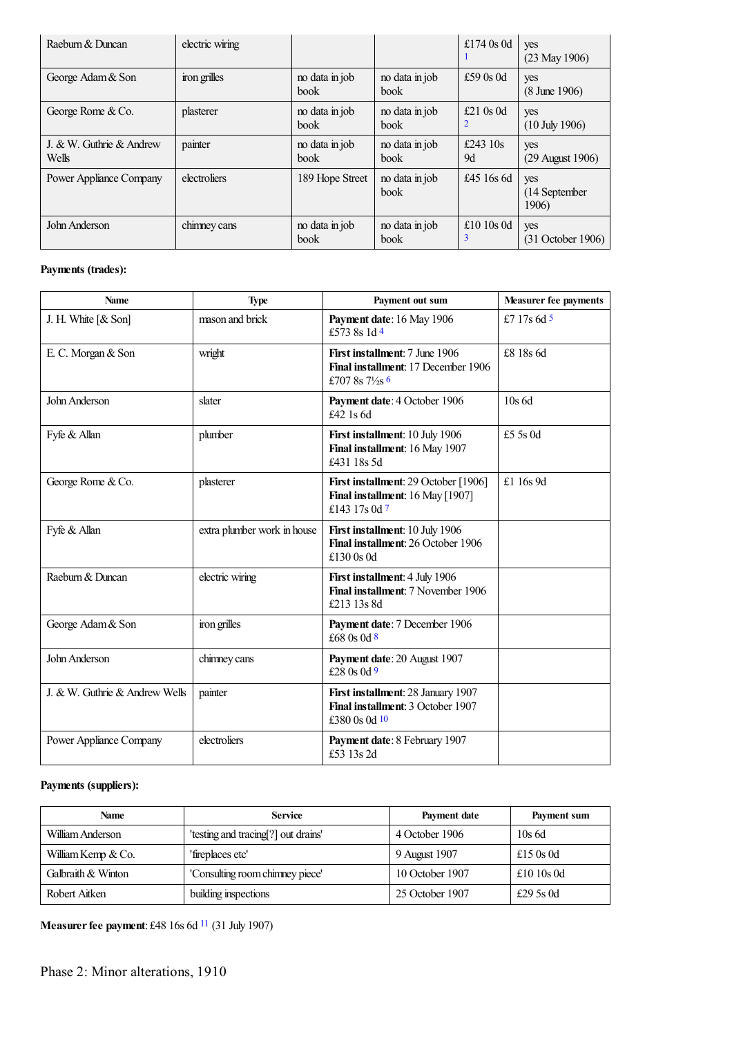<span id="page-3-1"></span><span id="page-3-0"></span>

| Raeburn & Duncan                  | electric wiring |                               |                               | £174 $0s$ 0d      | yes<br>$(23$ May 1906)          |
|-----------------------------------|-----------------|-------------------------------|-------------------------------|-------------------|---------------------------------|
| George Adam & Son                 | iron grilles    | no data in job<br>book        | no data in job<br><b>book</b> | £59 $0s$ 0d       | yes<br>$(8 \text{ June } 1906)$ |
| George Rome & Co.                 | plasterer       | no data in job<br>book        | no data in job<br>book        | £21 $0s$ 0d<br>2  | yes<br>$(10$ July 1906)         |
| J. & W. Guthrie & Andrew<br>Wells | painter         | no data in job<br><b>book</b> | no data in job<br><b>book</b> | £243 $10s$<br>9d  | yes<br>$(29$ August 1906)       |
| Power Appliance Company           | electroliers    | 189 Hope Street               | no data in job<br>book        | £45 $16s$ 6d      | yes<br>(14 September<br>1906)   |
| John Anderson                     | chimney cans    | no data in job<br>book        | no data in job<br><b>book</b> | £10 $10s$ 0d<br>3 | yes<br>$(31$ October 1906)      |

## <span id="page-3-2"></span>**Payments (trades):**

<span id="page-3-6"></span><span id="page-3-5"></span><span id="page-3-4"></span><span id="page-3-3"></span>

| <b>Name</b>                    | <b>Type</b>                 | Payment out sum                                                                                     | <b>Measurer fee payments</b> |
|--------------------------------|-----------------------------|-----------------------------------------------------------------------------------------------------|------------------------------|
| J. H. White [ & Son]           | mason and brick             | Payment date: 16 May 1906<br>£573 8s 1d 4                                                           | £7 17s $6d$ <sup>5</sup>     |
| E. C. Morgan & Son             | wright                      | First installment: 7 June 1906<br>Final installment: 17 December 1906<br>£707 8s $7\frac{1}{2}$ s 6 | £8 18s 6d                    |
| John Anderson                  | slater                      | Payment date: 4 October 1906<br>£42 1s 6d                                                           | $10s$ 6d                     |
| Fyfe & Allan                   | plumber                     | First installment: 10 July 1906<br>Final installment: 16 May 1907<br>£431 18s 5d                    | £5 5s 0d                     |
| George Rome & Co.              | plasterer                   | First installment: 29 October [1906]<br>Final installment: 16 May [1907]<br>£143 17s 0d $7$         | £1 16s 9d                    |
| Fyfe & Allan                   | extra plumber work in house | First installment: 10 July 1906<br>Final installment: 26 October 1906<br>£130 0s 0d                 |                              |
| Raeburn & Duncan               | electric wiring             | First installment: 4 July 1906<br>Final installment: 7 November 1906<br>£213 13s 8d                 |                              |
| George Adam & Son              | iron grilles                | Payment date: 7 December 1906<br>£68 0s 0d 8                                                        |                              |
| John Anderson                  | chimney cans                | Payment date: 20 August 1907<br>£28 0s 0d 9                                                         |                              |
| J. & W. Guthrie & Andrew Wells | painter                     | First installment: 28 January 1907<br>Final installment: 3 October 1907<br>£380 0s 0d 10            |                              |
| Power Appliance Company        | electroliers                | Payment date: 8 February 1907<br>£53 13s 2d                                                         |                              |

# <span id="page-3-9"></span><span id="page-3-8"></span><span id="page-3-7"></span>**Payments (suppliers):**

| <b>Name</b>        | <b>Service</b>                      | Payment date    | Payment sum      |
|--------------------|-------------------------------------|-----------------|------------------|
| William Anderson   | 'testing and tracing[?] out drains' | 4 October 1906  | 10s6d            |
| William Kemp & Co. | 'fireplaces etc'                    | 9 August 1907   | £15 $0s$ 0d      |
| Galbraith & Winton | 'Consulting room chimney piece'     | 10 October 1907 | £10 10s 0d       |
| Robert Aitken      | building inspections                | 25 October 1907 | £29.5 $\rm s$ 0d |

<span id="page-3-10"></span>**Measurerfee payment**: £48 16s 6d [11](#page-5-14) (31 July 1907)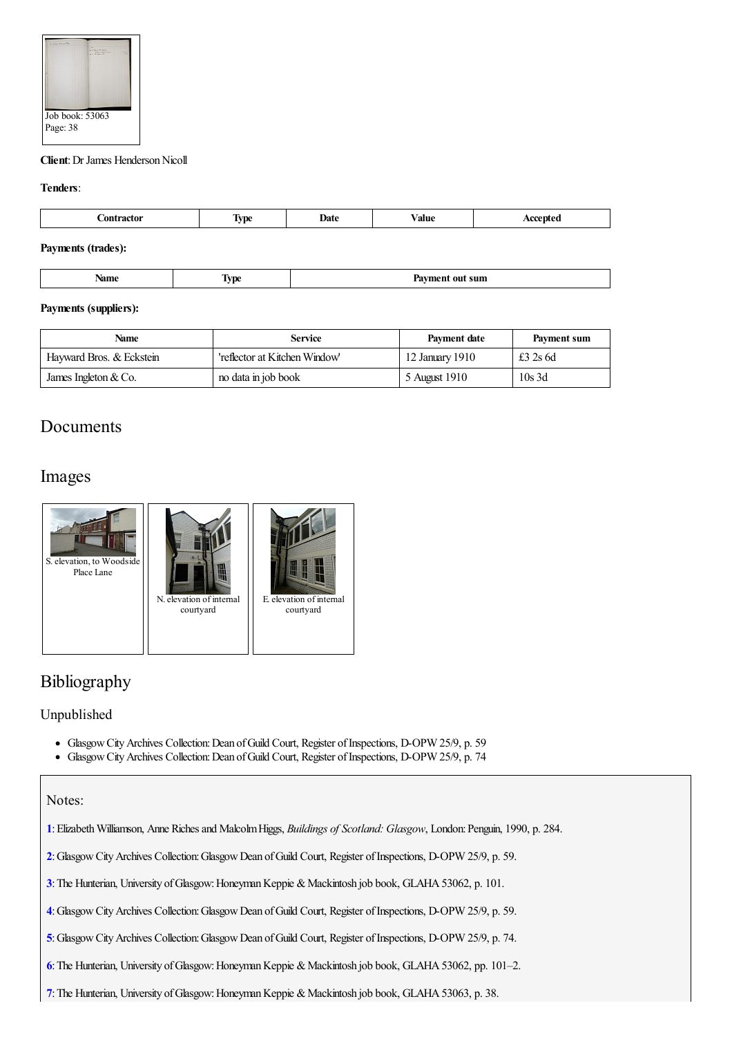

## **Client**: Dr James Henderson Nicoll

### **Tenders**:

| --<br>. | <b>STATE</b><br> | Jate<br>$-$ | ⁄ alue | $\sim$ |
|---------|------------------|-------------|--------|--------|
|         |                  |             |        |        |

## **Payments (trades):**

| ы  |   |
|----|---|
| ww | . |
|    |   |

## **Payments (suppliers):**

| <b>Service</b><br>Name   |                               | Payment date    | Payment sum |
|--------------------------|-------------------------------|-----------------|-------------|
| Hayward Bros. & Eckstein | 'reflector at Kitchen Window' | 12 January 1910 | £3 2s 6d    |
| James Ingleton $& Co.$   | no data in job book           | 5 August 1910   | $10s$ 3d    |

# **Documents**

# Images



# Bibliography

## Unpublished

- Glasgow City Archives Collection: Dean of Guild Court, Register of Inspections, D-OPW 25/9, p. 59
- $\bullet$ Glasgow City Archives Collection: Dean of Guild Court, Register of Inspections, D-OPW 25/9, p. 74

## Notes:

- <span id="page-4-0"></span>**[1](#page-0-0)**:ElizabethWilliamson, Anne Richesand MalcolmHiggs, *Buildings of Scotland: Glasgow*, London:Penguin, 1990, p. 284.
- <span id="page-4-1"></span>**[2](#page-0-1)**:GlasgowCityArchives Collection:GlasgowDean ofGuild Court, Register ofInspections, D-OPW 25/9, p. 59.
- <span id="page-4-2"></span>**[3](#page-0-2)**: The Hunterian, University of Glasgow: Honeyman Keppie & Mackintosh job book, GLAHA 53062, p. 101.
- <span id="page-4-3"></span>**[4](#page-0-3)**:GlasgowCityArchives Collection:GlasgowDean ofGuild Court, Register ofInspections, D-OPW 25/9, p. 59.
- <span id="page-4-4"></span>[5](#page-0-4): Glasgow City Archives Collection: Glasgow Dean of Guild Court, Register of Inspections, D-OPW 25/9, p. 74.
- <span id="page-4-5"></span>[6](#page-0-5): The Hunterian, University of Glasgow: Honeyman Keppie & Mackintosh job book, GLAHA 53062, pp. 101–2.
- <span id="page-4-6"></span>[7](#page-0-6): The Hunterian, University of Glasgow: Honeyman Keppie & Mackintosh job book, GLAHA 53063, p. 38.